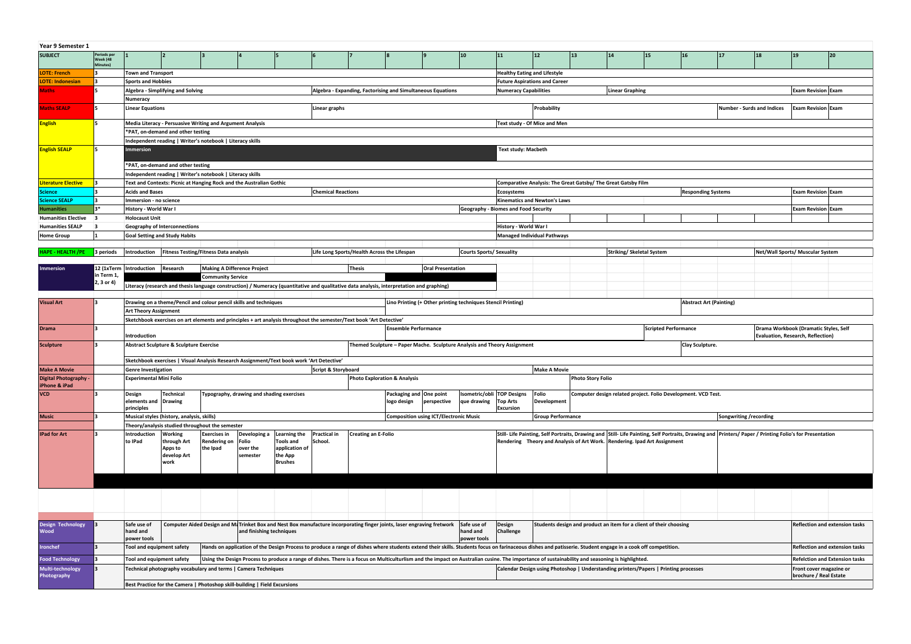| Year 9 Semester 1                                |                                     |                                                                                                                                                                   |                                                                              |                                    |                                           |                                                                                                                                                                                                            |                                             |                            |                                                                          |                                               |                                           |                                      |                                                                                      |                          |                                  |                                                                    |                           |                        |                                                                                                                                                       |                                                   |                                       |  |  |  |  |  |
|--------------------------------------------------|-------------------------------------|-------------------------------------------------------------------------------------------------------------------------------------------------------------------|------------------------------------------------------------------------------|------------------------------------|-------------------------------------------|------------------------------------------------------------------------------------------------------------------------------------------------------------------------------------------------------------|---------------------------------------------|----------------------------|--------------------------------------------------------------------------|-----------------------------------------------|-------------------------------------------|--------------------------------------|--------------------------------------------------------------------------------------|--------------------------|----------------------------------|--------------------------------------------------------------------|---------------------------|------------------------|-------------------------------------------------------------------------------------------------------------------------------------------------------|---------------------------------------------------|---------------------------------------|--|--|--|--|--|
| <b>SUBJECT</b>                                   | Periods per<br>Week (48<br>Minutes) |                                                                                                                                                                   |                                                                              |                                    |                                           |                                                                                                                                                                                                            |                                             |                            |                                                                          |                                               | 10                                        | 11                                   | $ 12\rangle$                                                                         | 13                       | 14                               | 15                                                                 | 16                        | 17                     | 18                                                                                                                                                    | 19                                                | 20                                    |  |  |  |  |  |
| <b>LOTE: French</b>                              |                                     | <b>Town and Transport</b>                                                                                                                                         |                                                                              |                                    |                                           |                                                                                                                                                                                                            |                                             |                            |                                                                          |                                               |                                           |                                      | <b>Healthy Eating and Lifestyle</b>                                                  |                          |                                  |                                                                    |                           |                        |                                                                                                                                                       |                                                   |                                       |  |  |  |  |  |
| <b>LOTE: Indonesian</b>                          |                                     | <b>Sports and Hobbies</b><br><b>Future Aspirations and Career</b>                                                                                                 |                                                                              |                                    |                                           |                                                                                                                                                                                                            |                                             |                            |                                                                          |                                               |                                           |                                      |                                                                                      |                          |                                  |                                                                    |                           |                        |                                                                                                                                                       |                                                   |                                       |  |  |  |  |  |
| <b>Maths</b>                                     |                                     | Algebra - Expanding, Factorising and Simultaneous Equations<br>Algebra - Simplifying and Solving                                                                  |                                                                              |                                    |                                           |                                                                                                                                                                                                            |                                             |                            |                                                                          |                                               |                                           |                                      | Numeracy Capabilities                                                                |                          |                                  | <b>Linear Graphing</b>                                             |                           |                        |                                                                                                                                                       | <b>Exam Revision Exam</b>                         |                                       |  |  |  |  |  |
|                                                  |                                     | Numeracy                                                                                                                                                          |                                                                              |                                    |                                           |                                                                                                                                                                                                            |                                             |                            |                                                                          |                                               |                                           |                                      |                                                                                      |                          |                                  |                                                                    |                           |                        |                                                                                                                                                       |                                                   |                                       |  |  |  |  |  |
| <b>Maths SEALP</b>                               |                                     | <b>Linear Equations</b><br>Linear graphs                                                                                                                          |                                                                              |                                    |                                           |                                                                                                                                                                                                            |                                             |                            | Probability                                                              |                                               |                                           |                                      |                                                                                      |                          |                                  | <b>Exam Revision Exam</b>                                          |                           |                        |                                                                                                                                                       |                                                   |                                       |  |  |  |  |  |
| <b>English</b>                                   |                                     | Media Literacy - Persuasive Writing and Argument Analysis                                                                                                         |                                                                              |                                    |                                           |                                                                                                                                                                                                            |                                             |                            |                                                                          |                                               |                                           |                                      | Text study - Of Mice and Men                                                         |                          |                                  |                                                                    |                           |                        |                                                                                                                                                       |                                                   |                                       |  |  |  |  |  |
|                                                  |                                     |                                                                                                                                                                   | *PAT, on-demand and other testing                                            |                                    |                                           |                                                                                                                                                                                                            |                                             |                            |                                                                          |                                               |                                           |                                      |                                                                                      |                          |                                  |                                                                    |                           |                        |                                                                                                                                                       |                                                   |                                       |  |  |  |  |  |
|                                                  |                                     | Independent reading   Writer's notebook   Literacy skills                                                                                                         |                                                                              |                                    |                                           |                                                                                                                                                                                                            |                                             |                            |                                                                          |                                               |                                           |                                      |                                                                                      |                          |                                  |                                                                    |                           |                        |                                                                                                                                                       |                                                   |                                       |  |  |  |  |  |
| <b>English SEALP</b>                             |                                     | <b>Immersion</b>                                                                                                                                                  |                                                                              |                                    |                                           |                                                                                                                                                                                                            |                                             |                            |                                                                          |                                               |                                           |                                      | <b>Text study: Macbeth</b>                                                           |                          |                                  |                                                                    |                           |                        |                                                                                                                                                       |                                                   |                                       |  |  |  |  |  |
|                                                  |                                     |                                                                                                                                                                   | *PAT, on-demand and other testing                                            |                                    |                                           |                                                                                                                                                                                                            |                                             |                            |                                                                          |                                               |                                           |                                      |                                                                                      |                          |                                  |                                                                    |                           |                        |                                                                                                                                                       |                                                   |                                       |  |  |  |  |  |
|                                                  |                                     | Independent reading   Writer's notebook   Literacy skills                                                                                                         |                                                                              |                                    |                                           |                                                                                                                                                                                                            |                                             |                            |                                                                          |                                               |                                           |                                      |                                                                                      |                          |                                  |                                                                    |                           |                        |                                                                                                                                                       |                                                   |                                       |  |  |  |  |  |
| Literature Elective                              |                                     |                                                                                                                                                                   | Text and Contexts: Picnic at Hanging Rock and the Australian Gothic          |                                    |                                           |                                                                                                                                                                                                            |                                             |                            |                                                                          |                                               |                                           |                                      | Comparative Analysis: The Great Gatsby/ The Great Gatsby Film                        |                          |                                  |                                                                    |                           |                        |                                                                                                                                                       |                                                   |                                       |  |  |  |  |  |
| <b>Science</b>                                   |                                     | <b>Acids and Bases</b>                                                                                                                                            |                                                                              |                                    |                                           |                                                                                                                                                                                                            | <b>Chemical Reactions</b>                   |                            |                                                                          |                                               |                                           | Ecosystems                           |                                                                                      |                          |                                  |                                                                    | <b>Responding Systems</b> |                        |                                                                                                                                                       | <b>Exam Revision Exam</b>                         |                                       |  |  |  |  |  |
| <b>Science SEALP</b>                             |                                     | Immersion - no science                                                                                                                                            |                                                                              |                                    |                                           |                                                                                                                                                                                                            |                                             |                            |                                                                          |                                               |                                           |                                      | <b>Kinematics and Newton's Laws</b>                                                  |                          |                                  |                                                                    |                           |                        |                                                                                                                                                       |                                                   |                                       |  |  |  |  |  |
| <b>Humanities</b>                                | 3*                                  | History - World War I                                                                                                                                             |                                                                              |                                    |                                           |                                                                                                                                                                                                            |                                             |                            |                                                                          |                                               |                                           | Geography - Biomes and Food Security |                                                                                      |                          |                                  |                                                                    |                           |                        |                                                                                                                                                       | <b>Exam Revision Exam</b>                         |                                       |  |  |  |  |  |
| Humanities Elective 3<br><b>Humanities SEALP</b> | -3                                  | <b>Holocaust Unit</b>                                                                                                                                             |                                                                              |                                    |                                           |                                                                                                                                                                                                            |                                             |                            |                                                                          |                                               |                                           | History - World War I                |                                                                                      |                          |                                  |                                                                    |                           |                        |                                                                                                                                                       |                                                   |                                       |  |  |  |  |  |
| <b>Home Group</b>                                |                                     |                                                                                                                                                                   | <b>Geography of Interconnections</b><br><b>Goal Setting and Study Habits</b> |                                    |                                           |                                                                                                                                                                                                            |                                             |                            |                                                                          |                                               |                                           |                                      | Managed Individual Pathways                                                          |                          |                                  |                                                                    |                           |                        |                                                                                                                                                       |                                                   |                                       |  |  |  |  |  |
|                                                  |                                     |                                                                                                                                                                   |                                                                              |                                    |                                           |                                                                                                                                                                                                            |                                             |                            |                                                                          |                                               |                                           |                                      |                                                                                      |                          |                                  |                                                                    |                           |                        |                                                                                                                                                       |                                                   |                                       |  |  |  |  |  |
| <b>HAPE - HEALTH /PE</b>                         | 3 periods                           | Introduction   Fitness Testing/Fitness Data analysis                                                                                                              |                                                                              |                                    |                                           |                                                                                                                                                                                                            | Life Long Sports/Health Across the Lifespan |                            |                                                                          |                                               |                                           | <b>Courts Sports/ Sexuality</b>      |                                                                                      |                          | <b>Striking/ Skeletal System</b> |                                                                    |                           |                        |                                                                                                                                                       | Net/Wall Sports/ Muscular System                  |                                       |  |  |  |  |  |
|                                                  |                                     |                                                                                                                                                                   |                                                                              |                                    |                                           |                                                                                                                                                                                                            |                                             |                            |                                                                          |                                               |                                           |                                      |                                                                                      |                          |                                  |                                                                    |                           |                        |                                                                                                                                                       |                                                   |                                       |  |  |  |  |  |
| <b>Immersion</b>                                 | in Term 1,                          | 12 (1xTerm   Introduction   Research                                                                                                                              |                                                                              | <b>Making A Difference Project</b> |                                           |                                                                                                                                                                                                            |                                             | Thesis                     |                                                                          | <b>Oral Presentation</b>                      |                                           |                                      |                                                                                      |                          |                                  |                                                                    |                           |                        |                                                                                                                                                       |                                                   |                                       |  |  |  |  |  |
|                                                  | 2, 3 or 4)                          |                                                                                                                                                                   |                                                                              | <b>Community Service</b>           |                                           |                                                                                                                                                                                                            |                                             |                            |                                                                          |                                               |                                           |                                      |                                                                                      |                          |                                  |                                                                    |                           |                        |                                                                                                                                                       |                                                   |                                       |  |  |  |  |  |
|                                                  |                                     |                                                                                                                                                                   |                                                                              |                                    |                                           | Literacy (research and thesis language construction) / Numeracy (quantitative and qualitative data analysis, interpretation and graphing)                                                                  |                                             |                            |                                                                          |                                               |                                           |                                      |                                                                                      |                          |                                  |                                                                    |                           |                        |                                                                                                                                                       |                                                   |                                       |  |  |  |  |  |
| <b>Visual Art</b>                                |                                     |                                                                                                                                                                   |                                                                              |                                    |                                           |                                                                                                                                                                                                            |                                             |                            |                                                                          |                                               |                                           | Abstract Art (Painting)              |                                                                                      |                          |                                  |                                                                    |                           |                        |                                                                                                                                                       |                                                   |                                       |  |  |  |  |  |
|                                                  |                                     | Lino Printing (+ Other printing techniques Stencil Printing)<br>Drawing on a theme/Pencil and colour pencil skills and techniques<br><b>Art Theory Assignment</b> |                                                                              |                                    |                                           |                                                                                                                                                                                                            |                                             |                            |                                                                          |                                               |                                           |                                      |                                                                                      |                          |                                  |                                                                    |                           |                        |                                                                                                                                                       |                                                   |                                       |  |  |  |  |  |
|                                                  |                                     |                                                                                                                                                                   |                                                                              |                                    |                                           |                                                                                                                                                                                                            |                                             |                            |                                                                          |                                               |                                           |                                      |                                                                                      |                          |                                  |                                                                    |                           |                        |                                                                                                                                                       |                                                   |                                       |  |  |  |  |  |
|                                                  |                                     |                                                                                                                                                                   |                                                                              |                                    |                                           | Sketchbook exercises on art elements and principles + art analysis throughout the semester/Text book 'Art Detective'                                                                                       |                                             |                            |                                                                          |                                               |                                           |                                      |                                                                                      |                          |                                  |                                                                    |                           |                        |                                                                                                                                                       |                                                   |                                       |  |  |  |  |  |
| Drama                                            |                                     |                                                                                                                                                                   |                                                                              |                                    |                                           |                                                                                                                                                                                                            |                                             |                            | <b>Ensemble Performance</b>                                              |                                               |                                           |                                      |                                                                                      |                          |                                  | <b>Scripted Performance</b>                                        |                           |                        |                                                                                                                                                       | Drama Workbook (Dramatic Styles, Self             |                                       |  |  |  |  |  |
|                                                  |                                     | Introduction                                                                                                                                                      |                                                                              |                                    |                                           |                                                                                                                                                                                                            |                                             |                            |                                                                          |                                               |                                           |                                      |                                                                                      |                          |                                  |                                                                    |                           |                        |                                                                                                                                                       | Evaluation, Research, Reflection)                 |                                       |  |  |  |  |  |
| Sculpture                                        |                                     |                                                                                                                                                                   | Abstract Sculpture & Sculpture Exercise                                      |                                    |                                           |                                                                                                                                                                                                            |                                             |                            | Themed Sculpture - Paper Mache. Sculpture Analysis and Theory Assignment |                                               |                                           |                                      |                                                                                      |                          |                                  |                                                                    | Clay Sculpture.           |                        |                                                                                                                                                       |                                                   |                                       |  |  |  |  |  |
|                                                  |                                     |                                                                                                                                                                   |                                                                              |                                    |                                           | Sketchbook exercises   Visual Analysis Research Assignment/Text book work 'Art Detective'                                                                                                                  |                                             |                            |                                                                          |                                               |                                           |                                      |                                                                                      |                          |                                  |                                                                    |                           |                        |                                                                                                                                                       |                                                   |                                       |  |  |  |  |  |
| <b>Make A Movie</b>                              |                                     | <b>Genre Investigation</b>                                                                                                                                        |                                                                              |                                    |                                           |                                                                                                                                                                                                            | Script & Storyboard                         |                            |                                                                          |                                               |                                           |                                      | <b>Make A Movie</b>                                                                  |                          |                                  |                                                                    |                           |                        |                                                                                                                                                       |                                                   |                                       |  |  |  |  |  |
| <b>Digital Photography -</b>                     |                                     | <b>Experimental Mini Folio</b>                                                                                                                                    |                                                                              |                                    |                                           |                                                                                                                                                                                                            |                                             |                            | <b>Photo Exploration &amp; Analysis</b>                                  |                                               |                                           |                                      |                                                                                      | <b>Photo Story Folio</b> |                                  |                                                                    |                           |                        |                                                                                                                                                       |                                                   |                                       |  |  |  |  |  |
| iPhone & iPad                                    |                                     |                                                                                                                                                                   |                                                                              |                                    |                                           |                                                                                                                                                                                                            |                                             |                            |                                                                          |                                               |                                           |                                      |                                                                                      |                          |                                  |                                                                    |                           |                        |                                                                                                                                                       |                                                   |                                       |  |  |  |  |  |
| <b>VCD</b>                                       |                                     | Design<br>elements and Drawing                                                                                                                                    | <b>Technical</b>                                                             |                                    | Typography, drawing and shading exercises |                                                                                                                                                                                                            |                                             |                            | Packaging and One point<br>logo design                                   | perspective                                   | Isometric/obli TOP Designs<br>que drawing | <b>Top Arts</b>                      | Folio<br>Development                                                                 |                          |                                  | Computer design related project. Folio Development. VCD Test.      |                           |                        |                                                                                                                                                       |                                                   |                                       |  |  |  |  |  |
|                                                  |                                     | principles                                                                                                                                                        |                                                                              |                                    |                                           |                                                                                                                                                                                                            |                                             |                            |                                                                          |                                               |                                           | Excursion                            |                                                                                      |                          |                                  |                                                                    |                           |                        |                                                                                                                                                       |                                                   |                                       |  |  |  |  |  |
| <b>Music</b>                                     |                                     |                                                                                                                                                                   | Musical styles (history, analysis, skills)                                   |                                    |                                           |                                                                                                                                                                                                            |                                             |                            |                                                                          | <b>Composition using ICT/Electronic Music</b> |                                           |                                      | <b>Group Performance</b>                                                             |                          |                                  |                                                                    |                           | Songwriting /recording |                                                                                                                                                       |                                                   |                                       |  |  |  |  |  |
|                                                  |                                     |                                                                                                                                                                   | Theory/analysis studied throughout the semester                              |                                    |                                           |                                                                                                                                                                                                            |                                             |                            |                                                                          |                                               |                                           |                                      |                                                                                      |                          |                                  |                                                                    |                           |                        |                                                                                                                                                       |                                                   |                                       |  |  |  |  |  |
| <b>IPad for Art</b>                              |                                     | Introduction                                                                                                                                                      | Working                                                                      | <b>Exercises in</b>                | Developing a                              | Learning the                                                                                                                                                                                               | <b>Practical in</b>                         | <b>Creating an E-Folio</b> |                                                                          |                                               |                                           |                                      |                                                                                      |                          |                                  |                                                                    |                           |                        | Still-Life Painting, Self Portraits, Drawing and Still-Life Painting, Self Portraits, Drawing and Printers/ Paper / Printing Folio's for Presentation |                                                   |                                       |  |  |  |  |  |
|                                                  |                                     | to IPad                                                                                                                                                           | through Art<br>Apps to                                                       | Rendering on<br>the Ipad           | Folio<br>over the                         | Tools and<br>application of                                                                                                                                                                                | School.                                     |                            |                                                                          |                                               |                                           |                                      | Rendering Theory and Analysis of Art Work. Rendering. Ipad Art Assignment            |                          |                                  |                                                                    |                           |                        |                                                                                                                                                       |                                                   |                                       |  |  |  |  |  |
|                                                  |                                     |                                                                                                                                                                   | develop Art                                                                  |                                    | semester                                  | the App                                                                                                                                                                                                    |                                             |                            |                                                                          |                                               |                                           |                                      |                                                                                      |                          |                                  |                                                                    |                           |                        |                                                                                                                                                       |                                                   |                                       |  |  |  |  |  |
|                                                  |                                     |                                                                                                                                                                   | work                                                                         |                                    |                                           | <b>Brushes</b>                                                                                                                                                                                             |                                             |                            |                                                                          |                                               |                                           |                                      |                                                                                      |                          |                                  |                                                                    |                           |                        |                                                                                                                                                       |                                                   |                                       |  |  |  |  |  |
|                                                  |                                     |                                                                                                                                                                   |                                                                              |                                    |                                           |                                                                                                                                                                                                            |                                             |                            |                                                                          |                                               |                                           |                                      |                                                                                      |                          |                                  |                                                                    |                           |                        |                                                                                                                                                       |                                                   |                                       |  |  |  |  |  |
|                                                  |                                     |                                                                                                                                                                   |                                                                              |                                    |                                           |                                                                                                                                                                                                            |                                             |                            |                                                                          |                                               |                                           |                                      |                                                                                      |                          |                                  |                                                                    |                           |                        |                                                                                                                                                       |                                                   |                                       |  |  |  |  |  |
|                                                  |                                     |                                                                                                                                                                   |                                                                              |                                    |                                           |                                                                                                                                                                                                            |                                             |                            |                                                                          |                                               |                                           |                                      |                                                                                      |                          |                                  |                                                                    |                           |                        |                                                                                                                                                       |                                                   |                                       |  |  |  |  |  |
|                                                  |                                     |                                                                                                                                                                   |                                                                              |                                    |                                           |                                                                                                                                                                                                            |                                             |                            |                                                                          |                                               |                                           |                                      |                                                                                      |                          |                                  |                                                                    |                           |                        |                                                                                                                                                       |                                                   |                                       |  |  |  |  |  |
|                                                  |                                     |                                                                                                                                                                   |                                                                              |                                    |                                           |                                                                                                                                                                                                            |                                             |                            |                                                                          |                                               |                                           |                                      |                                                                                      |                          |                                  |                                                                    |                           |                        |                                                                                                                                                       |                                                   |                                       |  |  |  |  |  |
| <b>Design Technology</b>                         |                                     | Safe use of                                                                                                                                                       |                                                                              |                                    |                                           | Computer Aided Design and MaTrinket Box and Nest Box manufacture incorporating finger joints, laser engraving fretwork                                                                                     |                                             |                            |                                                                          |                                               | Safe use of                               | Design                               |                                                                                      |                          |                                  | Students design and product an item for a client of their choosing |                           |                        |                                                                                                                                                       |                                                   | <b>Reflection and extension tasks</b> |  |  |  |  |  |
| Wood                                             |                                     | hand and<br>power tools                                                                                                                                           |                                                                              |                                    | and finishing techniques                  |                                                                                                                                                                                                            |                                             |                            |                                                                          |                                               | hand and<br>power tools                   | Challenge                            |                                                                                      |                          |                                  |                                                                    |                           |                        |                                                                                                                                                       |                                                   |                                       |  |  |  |  |  |
| <b>Ironchef</b>                                  |                                     | Tool and equipment safety                                                                                                                                         |                                                                              |                                    |                                           | Hands on application of the Design Process to produce a range of dishes where students extend their skills. Students focus on farinaceous dishes and patisserie. Student engage in a cook off competition. |                                             |                            |                                                                          |                                               |                                           |                                      |                                                                                      |                          |                                  |                                                                    |                           |                        |                                                                                                                                                       |                                                   | <b>Reflection and extension tasks</b> |  |  |  |  |  |
|                                                  |                                     |                                                                                                                                                                   |                                                                              |                                    |                                           |                                                                                                                                                                                                            |                                             |                            |                                                                          |                                               |                                           |                                      |                                                                                      |                          |                                  |                                                                    |                           |                        |                                                                                                                                                       |                                                   | <b>Refelction and Extension tasks</b> |  |  |  |  |  |
| <b>Food Technology</b>                           |                                     | Tool and equipment safety                                                                                                                                         |                                                                              |                                    |                                           | Using the Design Process to produce a range of dishes. There is a focus on Multiculturlism and the impact on Australian cusine. The importance of sustainability and seasoning is highlighted.             |                                             |                            |                                                                          |                                               |                                           |                                      |                                                                                      |                          |                                  |                                                                    |                           |                        |                                                                                                                                                       |                                                   |                                       |  |  |  |  |  |
| Multi-technology<br>Photography                  |                                     |                                                                                                                                                                   | Technical photography vocabulary and terms   Camera Techniques               |                                    |                                           |                                                                                                                                                                                                            |                                             |                            |                                                                          |                                               |                                           |                                      | Calendar Design using Photoshop   Understanding printers/Papers   Printing processes |                          |                                  |                                                                    |                           |                        |                                                                                                                                                       | Front cover magazine or<br>brochure / Real Estate |                                       |  |  |  |  |  |